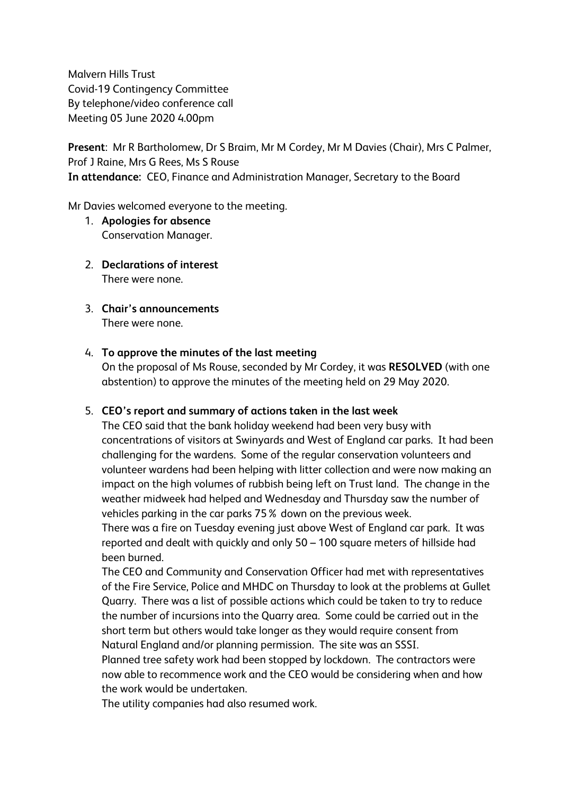Malvern Hills Trust Covid-19 Contingency Committee By telephone/video conference call Meeting 05 June 2020 4.00pm

**Present**: Mr R Bartholomew, Dr S Braim, Mr M Cordey, Mr M Davies (Chair), Mrs C Palmer, Prof J Raine, Mrs G Rees, Ms S Rouse **In attendance:** CEO, Finance and Administration Manager, Secretary to the Board

Mr Davies welcomed everyone to the meeting.

- 1. **Apologies for absence** Conservation Manager.
- 2. **Declarations of interest** There were none.
- 3. **Chair's announcements** There were none.

### 4. **To approve the minutes of the last meeting**

On the proposal of Ms Rouse, seconded by Mr Cordey, it was **RESOLVED** (with one abstention) to approve the minutes of the meeting held on 29 May 2020.

### 5. **CEO's report and summary of actions taken in the last week**

The CEO said that the bank holiday weekend had been very busy with concentrations of visitors at Swinyards and West of England car parks. It had been challenging for the wardens. Some of the regular conservation volunteers and volunteer wardens had been helping with litter collection and were now making an impact on the high volumes of rubbish being left on Trust land. The change in the weather midweek had helped and Wednesday and Thursday saw the number of vehicles parking in the car parks 75% down on the previous week.

There was a fire on Tuesday evening just above West of England car park. It was reported and dealt with quickly and only 50 – 100 square meters of hillside had been burned.

The CEO and Community and Conservation Officer had met with representatives of the Fire Service, Police and MHDC on Thursday to look at the problems at Gullet Quarry. There was a list of possible actions which could be taken to try to reduce the number of incursions into the Quarry area. Some could be carried out in the short term but others would take longer as they would require consent from Natural England and/or planning permission. The site was an SSSI.

Planned tree safety work had been stopped by lockdown. The contractors were now able to recommence work and the CEO would be considering when and how the work would be undertaken.

The utility companies had also resumed work.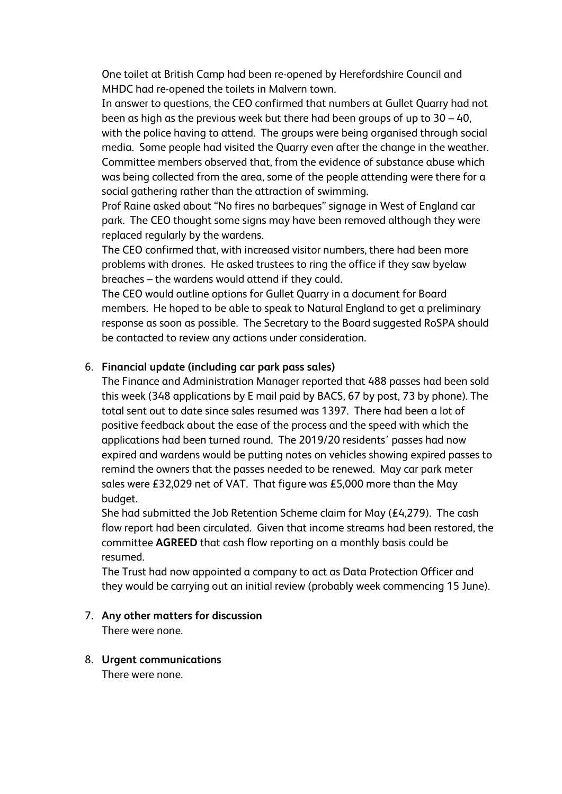One toilet at British Camp had been re-opened by Herefordshire Council and MHDC had re-opened the toilets in Malvern town.

In answer to questions, the CEO confirmed that numbers at Gullet Quarry had not been as high as the previous week but there had been groups of up to 30 – 40, with the police having to attend. The groups were being organised through social media. Some people had visited the Quarry even after the change in the weather. Committee members observed that, from the evidence of substance abuse which was being collected from the area, some of the people attending were there for a social gathering rather than the attraction of swimming.

Prof Raine asked about "No fires no barbeques" signage in West of England car park. The CEO thought some signs may have been removed although they were replaced regularly by the wardens.

The CEO confirmed that, with increased visitor numbers, there had been more problems with drones. He asked trustees to ring the office if they saw byelaw breaches – the wardens would attend if they could.

The CEO would outline options for Gullet Quarry in a document for Board members. He hoped to be able to speak to Natural England to get a preliminary response as soon as possible. The Secretary to the Board suggested RoSPA should be contacted to review any actions under consideration.

## 6. **Financial update (including car park pass sales)**

The Finance and Administration Manager reported that 488 passes had been sold this week (348 applications by E mail paid by BACS, 67 by post, 73 by phone). The total sent out to date since sales resumed was 1397. There had been a lot of positive feedback about the ease of the process and the speed with which the applications had been turned round. The 2019/20 residents' passes had now expired and wardens would be putting notes on vehicles showing expired passes to remind the owners that the passes needed to be renewed. May car park meter sales were £32,029 net of VAT. That figure was £5,000 more than the May budget.

She had submitted the Job Retention Scheme claim for May (£4,279). The cash flow report had been circulated. Given that income streams had been restored, the committee **AGREED** that cash flow reporting on a monthly basis could be resumed.

The Trust had now appointed a company to act as Data Protection Officer and they would be carrying out an initial review (probably week commencing 15 June).

### 7. **Any other matters for discussion**

There were none.

# 8. **Urgent communications**

There were none.